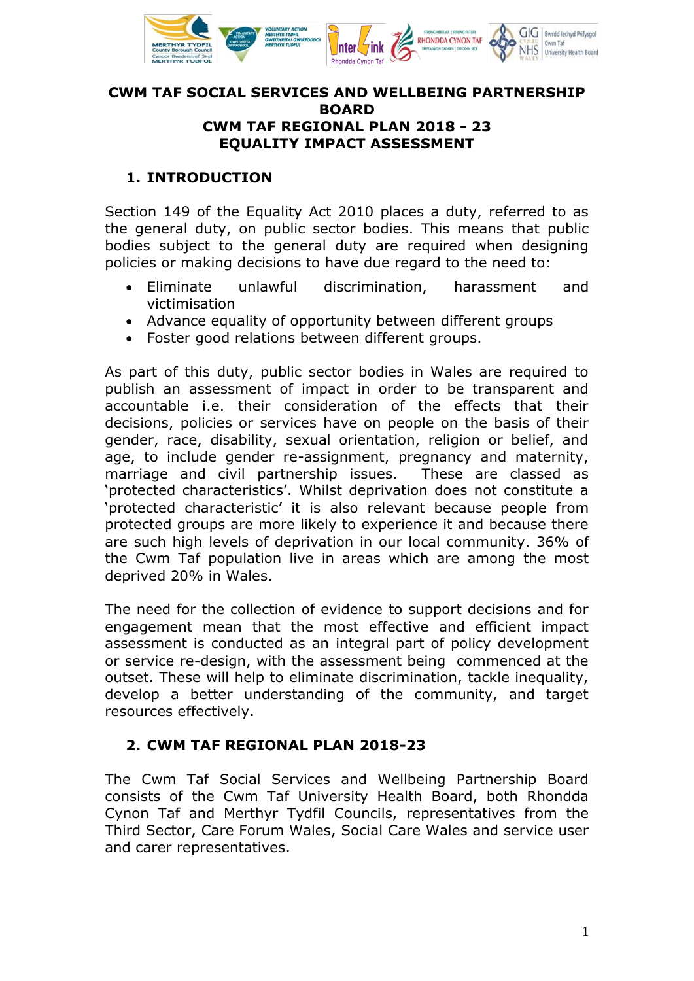

#### **CWM TAF SOCIAL SERVICES AND WELLBEING PARTNERSHIP BOARD CWM TAF REGIONAL PLAN 2018 - 23 EQUALITY IMPACT ASSESSMENT**

## **1. INTRODUCTION**

Section 149 of the Equality Act 2010 places a duty, referred to as the general duty, on public sector bodies. This means that public bodies subject to the general duty are required when designing policies or making decisions to have due regard to the need to:

- Eliminate unlawful discrimination, harassment and victimisation
- Advance equality of opportunity between different groups
- Foster good relations between different groups.

As part of this duty, public sector bodies in Wales are required to publish an assessment of impact in order to be transparent and accountable i.e. their consideration of the effects that their decisions, policies or services have on people on the basis of their gender, race, disability, sexual orientation, religion or belief, and age, to include gender re-assignment, pregnancy and maternity, marriage and civil partnership issues. These are classed as 'protected characteristics'. Whilst deprivation does not constitute a 'protected characteristic' it is also relevant because people from protected groups are more likely to experience it and because there are such high levels of deprivation in our local community. 36% of the Cwm Taf population live in areas which are among the most deprived 20% in Wales.

The need for the collection of evidence to support decisions and for engagement mean that the most effective and efficient impact assessment is conducted as an integral part of policy development or service re-design, with the assessment being commenced at the outset. These will help to eliminate discrimination, tackle inequality, develop a better understanding of the community, and target resources effectively.

## **2. CWM TAF REGIONAL PLAN 2018-23**

The Cwm Taf Social Services and Wellbeing Partnership Board consists of the Cwm Taf University Health Board, both Rhondda Cynon Taf and Merthyr Tydfil Councils, representatives from the Third Sector, Care Forum Wales, Social Care Wales and service user and carer representatives.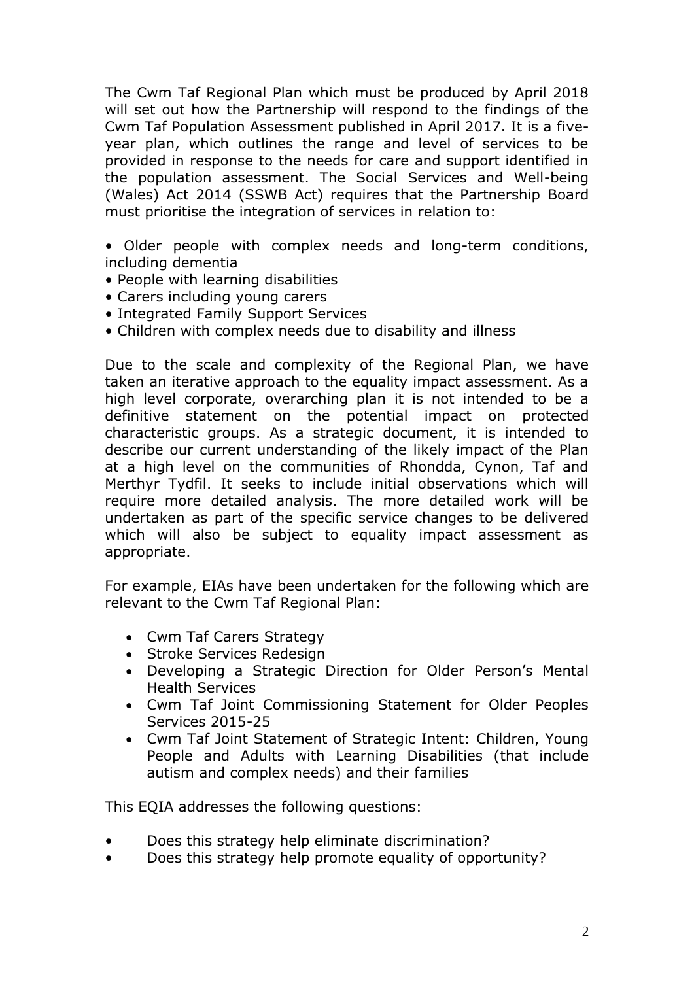The Cwm Taf Regional Plan which must be produced by April 2018 will set out how the Partnership will respond to the findings of the Cwm Taf Population Assessment published in April 2017. It is a fiveyear plan, which outlines the range and level of services to be provided in response to the needs for care and support identified in the population assessment. The Social Services and Well-being (Wales) Act 2014 (SSWB Act) requires that the Partnership Board must prioritise the integration of services in relation to:

• Older people with complex needs and long-term conditions, including dementia

- People with learning disabilities
- Carers including young carers
- Integrated Family Support Services
- Children with complex needs due to disability and illness

Due to the scale and complexity of the Regional Plan, we have taken an iterative approach to the equality impact assessment. As a high level corporate, overarching plan it is not intended to be a definitive statement on the potential impact on protected characteristic groups. As a strategic document, it is intended to describe our current understanding of the likely impact of the Plan at a high level on the communities of Rhondda, Cynon, Taf and Merthyr Tydfil. It seeks to include initial observations which will require more detailed analysis. The more detailed work will be undertaken as part of the specific service changes to be delivered which will also be subject to equality impact assessment as appropriate.

For example, EIAs have been undertaken for the following which are relevant to the Cwm Taf Regional Plan:

- Cwm Taf Carers Strategy
- Stroke Services Redesign
- Developing a Strategic Direction for Older Person's Mental Health Services
- Cwm Taf Joint Commissioning Statement for Older Peoples Services 2015-25
- Cwm Taf Joint Statement of Strategic Intent: Children, Young People and Adults with Learning Disabilities (that include autism and complex needs) and their families

This EQIA addresses the following questions:

- Does this strategy help eliminate discrimination?
- Does this strategy help promote equality of opportunity?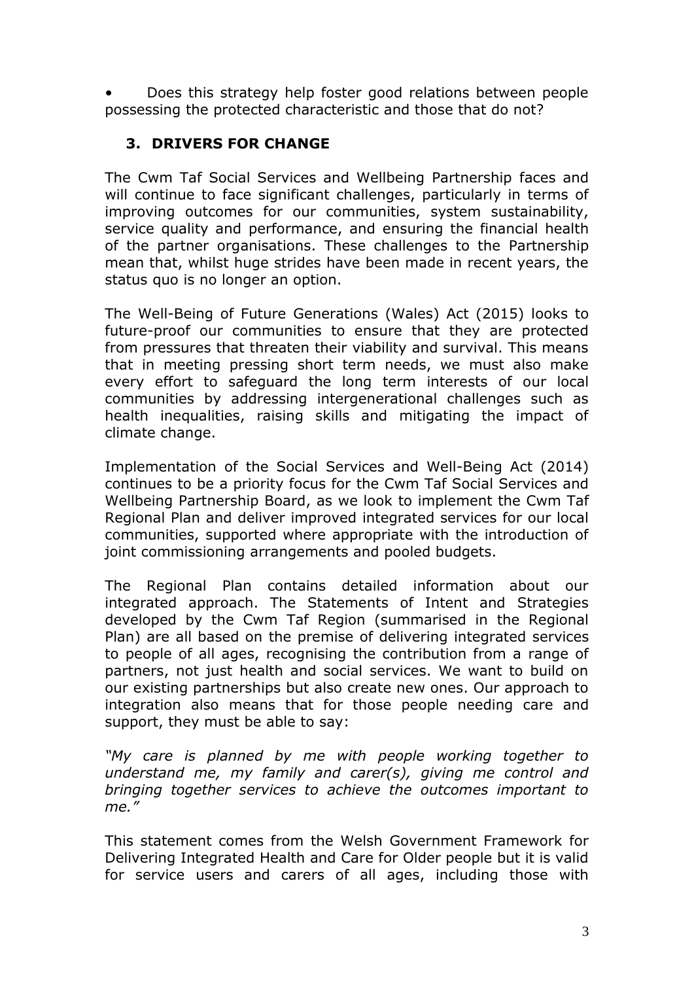• Does this strategy help foster good relations between people possessing the protected characteristic and those that do not?

## **3. DRIVERS FOR CHANGE**

The Cwm Taf Social Services and Wellbeing Partnership faces and will continue to face significant challenges, particularly in terms of improving outcomes for our communities, system sustainability, service quality and performance, and ensuring the financial health of the partner organisations. These challenges to the Partnership mean that, whilst huge strides have been made in recent years, the status quo is no longer an option.

The Well-Being of Future Generations (Wales) Act (2015) looks to future-proof our communities to ensure that they are protected from pressures that threaten their viability and survival. This means that in meeting pressing short term needs, we must also make every effort to safeguard the long term interests of our local communities by addressing intergenerational challenges such as health inequalities, raising skills and mitigating the impact of climate change.

Implementation of the Social Services and Well-Being Act (2014) continues to be a priority focus for the Cwm Taf Social Services and Wellbeing Partnership Board, as we look to implement the Cwm Taf Regional Plan and deliver improved integrated services for our local communities, supported where appropriate with the introduction of joint commissioning arrangements and pooled budgets.

The Regional Plan contains detailed information about our integrated approach. The Statements of Intent and Strategies developed by the Cwm Taf Region (summarised in the Regional Plan) are all based on the premise of delivering integrated services to people of all ages, recognising the contribution from a range of partners, not just health and social services. We want to build on our existing partnerships but also create new ones. Our approach to integration also means that for those people needing care and support, they must be able to say:

*"My care is planned by me with people working together to understand me, my family and carer(s), giving me control and bringing together services to achieve the outcomes important to me."*

This statement comes from the Welsh Government Framework for Delivering Integrated Health and Care for Older people but it is valid for service users and carers of all ages, including those with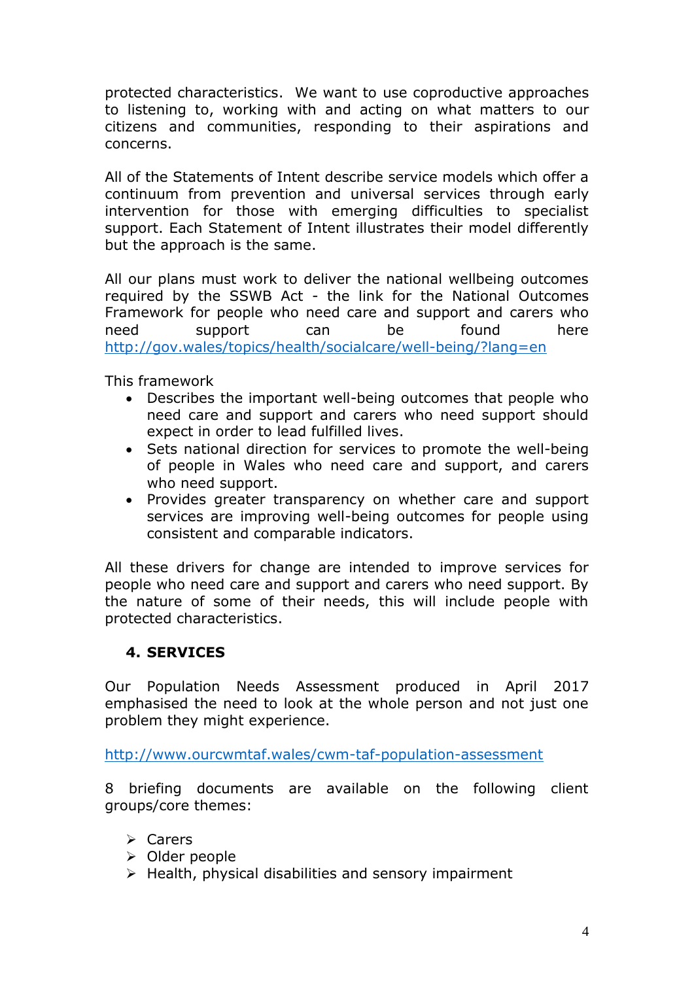protected characteristics. We want to use coproductive approaches to listening to, working with and acting on what matters to our citizens and communities, responding to their aspirations and concerns.

All of the Statements of Intent describe service models which offer a continuum from prevention and universal services through early intervention for those with emerging difficulties to specialist support. Each Statement of Intent illustrates their model differently but the approach is the same.

All our plans must work to deliver the national wellbeing outcomes required by the SSWB Act - the link for the National Outcomes Framework for people who need care and support and carers who need support can be found here <http://gov.wales/topics/health/socialcare/well-being/?lang=en>

This framework

- Describes the important well-being outcomes that people who need care and support and carers who need support should expect in order to lead fulfilled lives.
- Sets national direction for services to promote the well-being of people in Wales who need care and support, and carers who need support.
- Provides greater transparency on whether care and support services are improving well-being outcomes for people using consistent and comparable indicators.

All these drivers for change are intended to improve services for people who need care and support and carers who need support. By the nature of some of their needs, this will include people with protected characteristics.

# **4. SERVICES**

Our Population Needs Assessment produced in April 2017 emphasised the need to look at the whole person and not just one problem they might experience.

<http://www.ourcwmtaf.wales/cwm-taf-population-assessment>

8 briefing documents are available on the following client groups/core themes:

- $\triangleright$  Carers
- $\triangleright$  Older people
- $\triangleright$  Health, physical disabilities and sensory impairment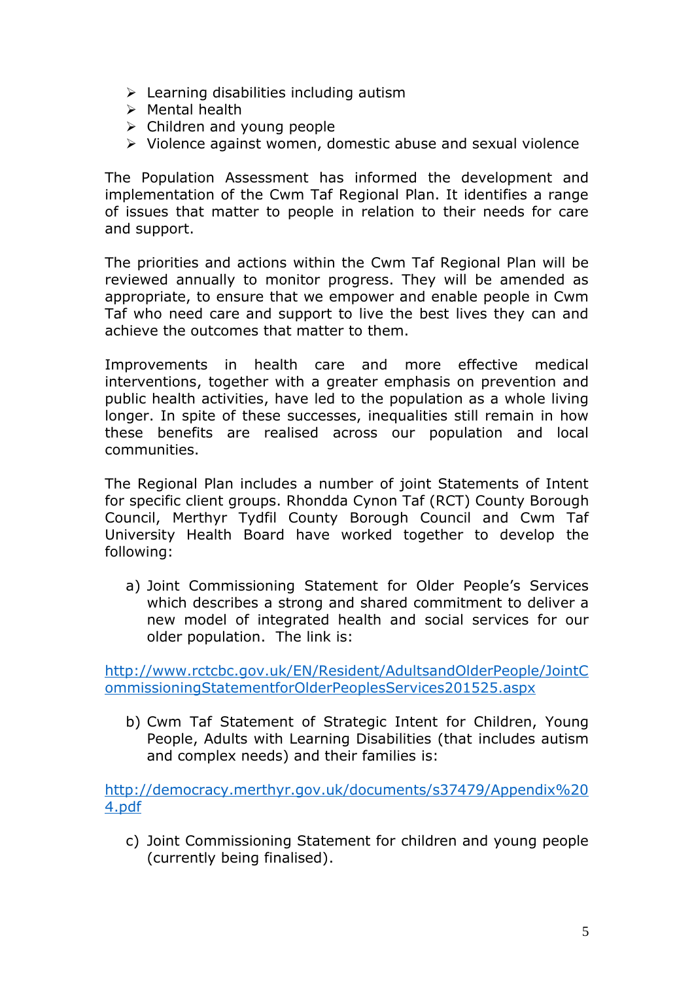- $\triangleright$  Learning disabilities including autism
- $\triangleright$  Mental health
- $\triangleright$  Children and young people
- $\triangleright$  Violence against women, domestic abuse and sexual violence

The Population Assessment has informed the development and implementation of the Cwm Taf Regional Plan. It identifies a range of issues that matter to people in relation to their needs for care and support.

The priorities and actions within the Cwm Taf Regional Plan will be reviewed annually to monitor progress. They will be amended as appropriate, to ensure that we empower and enable people in Cwm Taf who need care and support to live the best lives they can and achieve the outcomes that matter to them.

Improvements in health care and more effective medical interventions, together with a greater emphasis on prevention and public health activities, have led to the population as a whole living longer. In spite of these successes, inequalities still remain in how these benefits are realised across our population and local communities.

The Regional Plan includes a number of joint Statements of Intent for specific client groups. Rhondda Cynon Taf (RCT) County Borough Council, Merthyr Tydfil County Borough Council and Cwm Taf University Health Board have worked together to develop the following:

a) Joint Commissioning Statement for Older People's Services which describes a strong and shared commitment to deliver a new model of integrated health and social services for our older population. The link is:

[http://www.rctcbc.gov.uk/EN/Resident/AdultsandOlderPeople/JointC](http://www.rctcbc.gov.uk/EN/Resident/AdultsandOlderPeople/JointCommissioningStatementforOlderPeoplesServices201525.aspx) [ommissioningStatementforOlderPeoplesServices201525.aspx](http://www.rctcbc.gov.uk/EN/Resident/AdultsandOlderPeople/JointCommissioningStatementforOlderPeoplesServices201525.aspx)

b) Cwm Taf Statement of Strategic Intent for Children, Young People, Adults with Learning Disabilities (that includes autism and complex needs) and their families is:

[http://democracy.merthyr.gov.uk/documents/s37479/Appendix%20](http://democracy.merthyr.gov.uk/documents/s37479/Appendix%204.pdf) [4.pdf](http://democracy.merthyr.gov.uk/documents/s37479/Appendix%204.pdf)

c) Joint Commissioning Statement for children and young people (currently being finalised).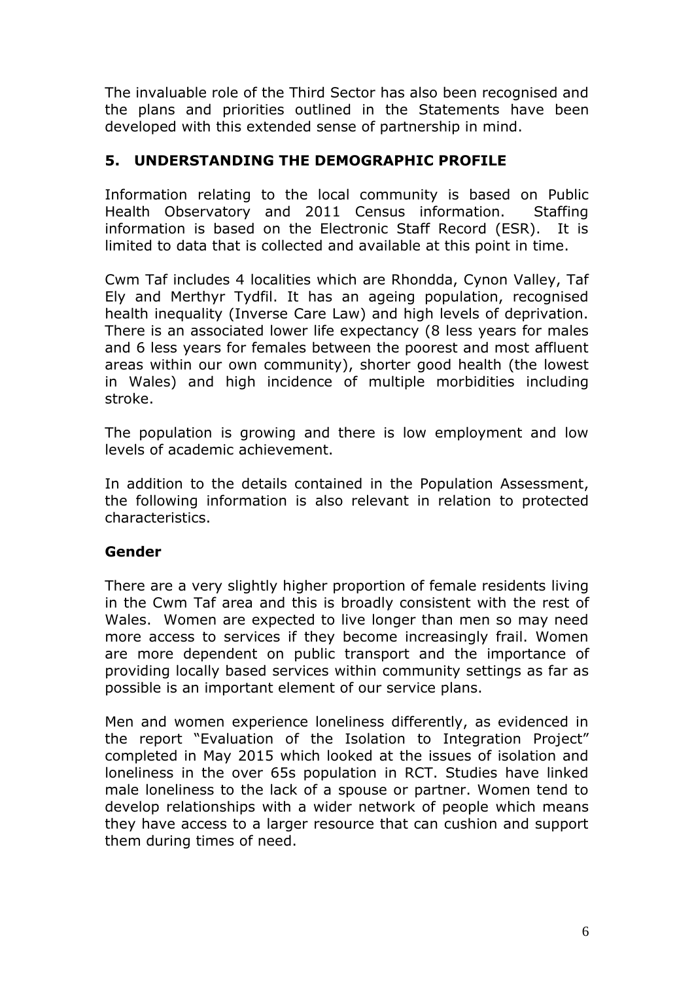The invaluable role of the Third Sector has also been recognised and the plans and priorities outlined in the Statements have been developed with this extended sense of partnership in mind.

# **5. UNDERSTANDING THE DEMOGRAPHIC PROFILE**

Information relating to the local community is based on Public Health Observatory and 2011 Census information. Staffing information is based on the Electronic Staff Record (ESR). It is limited to data that is collected and available at this point in time.

Cwm Taf includes 4 localities which are Rhondda, Cynon Valley, Taf Ely and Merthyr Tydfil. It has an ageing population, recognised health inequality (Inverse Care Law) and high levels of deprivation. There is an associated lower life expectancy (8 less years for males and 6 less years for females between the poorest and most affluent areas within our own community), shorter good health (the lowest in Wales) and high incidence of multiple morbidities including stroke.

The population is growing and there is low employment and low levels of academic achievement.

In addition to the details contained in the Population Assessment, the following information is also relevant in relation to protected characteristics.

## **Gender**

There are a very slightly higher proportion of female residents living in the Cwm Taf area and this is broadly consistent with the rest of Wales. Women are expected to live longer than men so may need more access to services if they become increasingly frail. Women are more dependent on public transport and the importance of providing locally based services within community settings as far as possible is an important element of our service plans.

Men and women experience loneliness differently, as evidenced in the report "Evaluation of the Isolation to Integration Project" completed in May 2015 which looked at the issues of isolation and loneliness in the over 65s population in RCT. Studies have linked male loneliness to the lack of a spouse or partner. Women tend to develop relationships with a wider network of people which means they have access to a larger resource that can cushion and support them during times of need.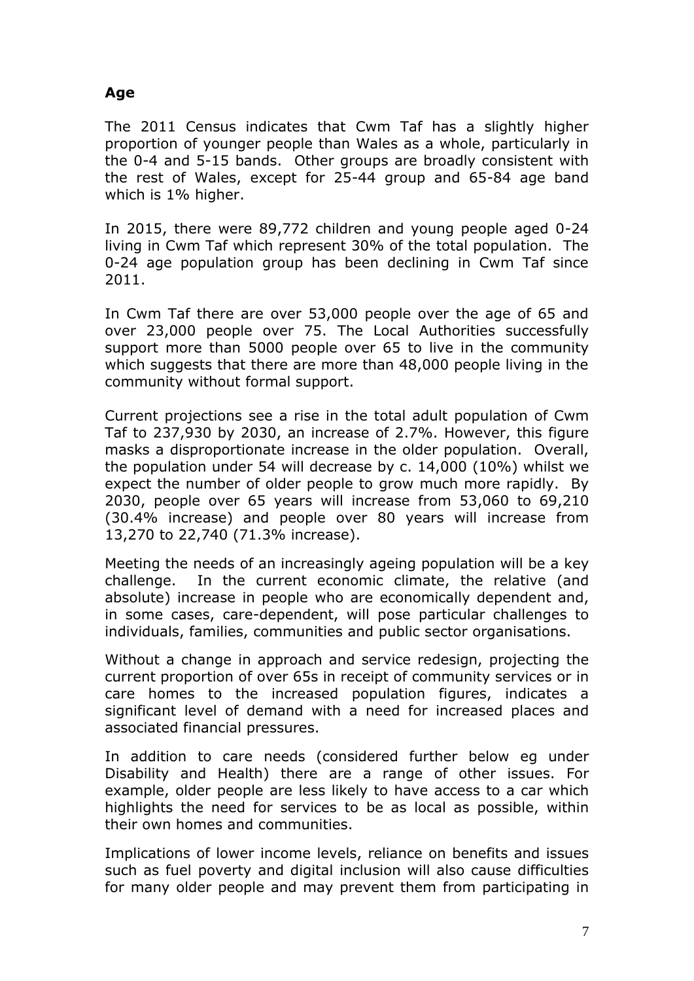## **Age**

The 2011 Census indicates that Cwm Taf has a slightly higher proportion of younger people than Wales as a whole, particularly in the 0-4 and 5-15 bands. Other groups are broadly consistent with the rest of Wales, except for 25-44 group and 65-84 age band which is 1% higher.

In 2015, there were 89,772 children and young people aged 0-24 living in Cwm Taf which represent 30% of the total population. The 0-24 age population group has been declining in Cwm Taf since 2011.

In Cwm Taf there are over 53,000 people over the age of 65 and over 23,000 people over 75. The Local Authorities successfully support more than 5000 people over 65 to live in the community which suggests that there are more than 48,000 people living in the community without formal support.

Current projections see a rise in the total adult population of Cwm Taf to 237,930 by 2030, an increase of 2.7%. However, this figure masks a disproportionate increase in the older population. Overall, the population under 54 will decrease by c. 14,000 (10%) whilst we expect the number of older people to grow much more rapidly. By 2030, people over 65 years will increase from 53,060 to 69,210 (30.4% increase) and people over 80 years will increase from 13,270 to 22,740 (71.3% increase).

Meeting the needs of an increasingly ageing population will be a key challenge. In the current economic climate, the relative (and absolute) increase in people who are economically dependent and, in some cases, care-dependent, will pose particular challenges to individuals, families, communities and public sector organisations.

Without a change in approach and service redesign, projecting the current proportion of over 65s in receipt of community services or in care homes to the increased population figures, indicates a significant level of demand with a need for increased places and associated financial pressures.

In addition to care needs (considered further below eg under Disability and Health) there are a range of other issues. For example, older people are less likely to have access to a car which highlights the need for services to be as local as possible, within their own homes and communities.

Implications of lower income levels, reliance on benefits and issues such as fuel poverty and digital inclusion will also cause difficulties for many older people and may prevent them from participating in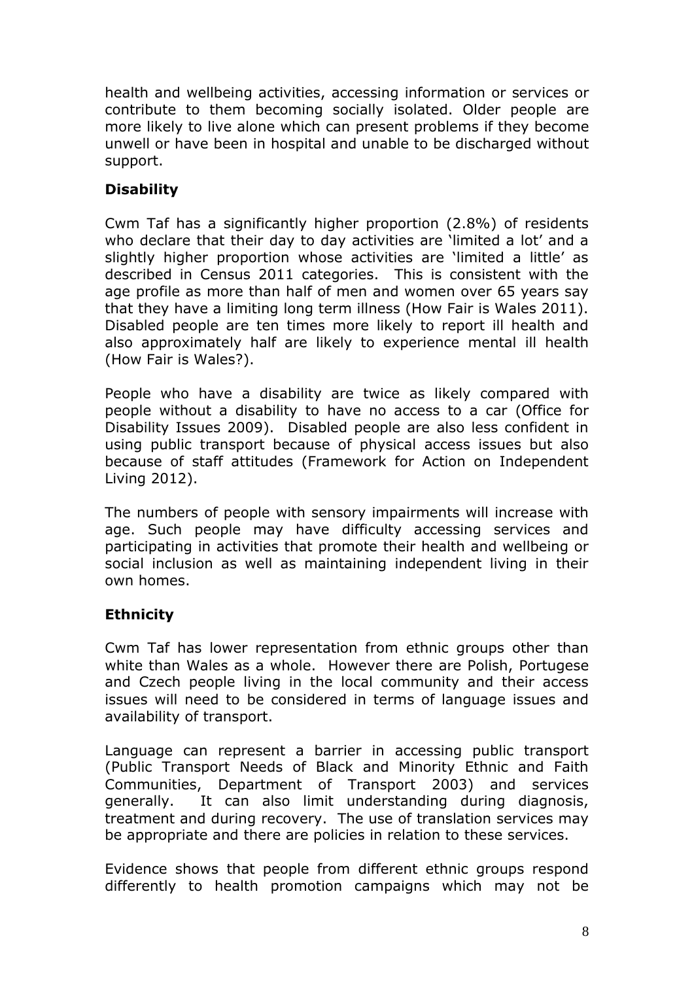health and wellbeing activities, accessing information or services or contribute to them becoming socially isolated. Older people are more likely to live alone which can present problems if they become unwell or have been in hospital and unable to be discharged without support.

# **Disability**

Cwm Taf has a significantly higher proportion (2.8%) of residents who declare that their day to day activities are 'limited a lot' and a slightly higher proportion whose activities are 'limited a little' as described in Census 2011 categories. This is consistent with the age profile as more than half of men and women over 65 years say that they have a limiting long term illness (How Fair is Wales 2011). Disabled people are ten times more likely to report ill health and also approximately half are likely to experience mental ill health (How Fair is Wales?).

People who have a disability are twice as likely compared with people without a disability to have no access to a car (Office for Disability Issues 2009). Disabled people are also less confident in using public transport because of physical access issues but also because of staff attitudes (Framework for Action on Independent Living 2012).

The numbers of people with sensory impairments will increase with age. Such people may have difficulty accessing services and participating in activities that promote their health and wellbeing or social inclusion as well as maintaining independent living in their own homes.

# **Ethnicity**

Cwm Taf has lower representation from ethnic groups other than white than Wales as a whole. However there are Polish, Portugese and Czech people living in the local community and their access issues will need to be considered in terms of language issues and availability of transport.

Language can represent a barrier in accessing public transport (Public Transport Needs of Black and Minority Ethnic and Faith Communities, Department of Transport 2003) and services generally. It can also limit understanding during diagnosis, treatment and during recovery. The use of translation services may be appropriate and there are policies in relation to these services.

Evidence shows that people from different ethnic groups respond differently to health promotion campaigns which may not be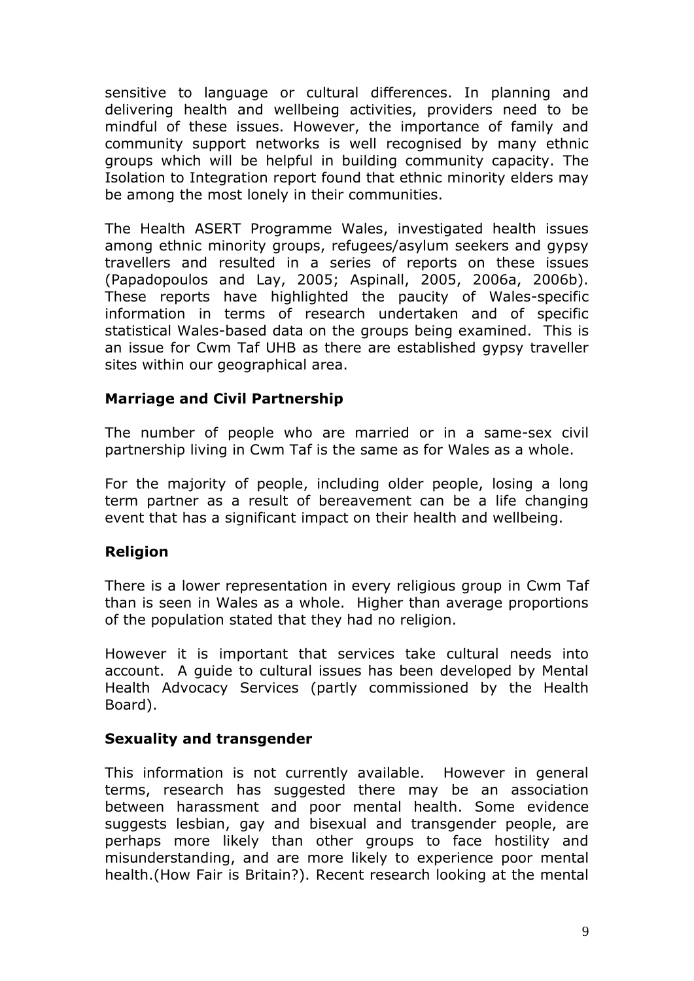sensitive to language or cultural differences. In planning and delivering health and wellbeing activities, providers need to be mindful of these issues. However, the importance of family and community support networks is well recognised by many ethnic groups which will be helpful in building community capacity. The Isolation to Integration report found that ethnic minority elders may be among the most lonely in their communities.

The Health ASERT Programme Wales, investigated health issues among ethnic minority groups, refugees/asylum seekers and gypsy travellers and resulted in a series of reports on these issues (Papadopoulos and Lay, 2005; Aspinall, 2005, 2006a, 2006b). These reports have highlighted the paucity of Wales-specific information in terms of research undertaken and of specific statistical Wales-based data on the groups being examined. This is an issue for Cwm Taf UHB as there are established gypsy traveller sites within our geographical area.

### **Marriage and Civil Partnership**

The number of people who are married or in a same-sex civil partnership living in Cwm Taf is the same as for Wales as a whole.

For the majority of people, including older people, losing a long term partner as a result of bereavement can be a life changing event that has a significant impact on their health and wellbeing.

## **Religion**

There is a lower representation in every religious group in Cwm Taf than is seen in Wales as a whole. Higher than average proportions of the population stated that they had no religion.

However it is important that services take cultural needs into account. A guide to cultural issues has been developed by Mental Health Advocacy Services (partly commissioned by the Health Board).

## **Sexuality and transgender**

This information is not currently available. However in general terms, research has suggested there may be an association between harassment and poor mental health. Some evidence suggests lesbian, gay and bisexual and transgender people, are perhaps more likely than other groups to face hostility and misunderstanding, and are more likely to experience poor mental health.(How Fair is Britain?). Recent research looking at the mental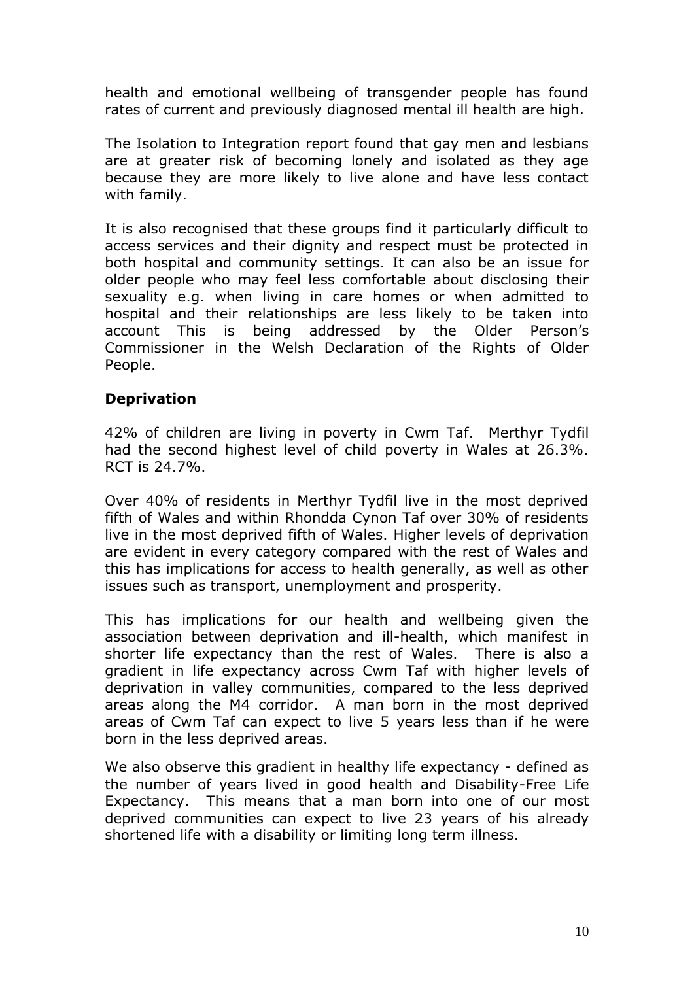health and emotional wellbeing of transgender people has found rates of current and previously diagnosed mental ill health are high.

The Isolation to Integration report found that gay men and lesbians are at greater risk of becoming lonely and isolated as they age because they are more likely to live alone and have less contact with family.

It is also recognised that these groups find it particularly difficult to access services and their dignity and respect must be protected in both hospital and community settings. It can also be an issue for older people who may feel less comfortable about disclosing their sexuality e.g. when living in care homes or when admitted to hospital and their relationships are less likely to be taken into account This is being addressed by the Older Person's Commissioner in the Welsh Declaration of the Rights of Older People.

### **Deprivation**

42% of children are living in poverty in Cwm Taf. Merthyr Tydfil had the second highest level of child poverty in Wales at 26.3%. RCT is 24.7%.

Over 40% of residents in Merthyr Tydfil live in the most deprived fifth of Wales and within Rhondda Cynon Taf over 30% of residents live in the most deprived fifth of Wales. Higher levels of deprivation are evident in every category compared with the rest of Wales and this has implications for access to health generally, as well as other issues such as transport, unemployment and prosperity.

This has implications for our health and wellbeing given the association between deprivation and ill-health, which manifest in shorter life expectancy than the rest of Wales. There is also a gradient in life expectancy across Cwm Taf with higher levels of deprivation in valley communities, compared to the less deprived areas along the M4 corridor. A man born in the most deprived areas of Cwm Taf can expect to live 5 years less than if he were born in the less deprived areas.

We also observe this gradient in healthy life expectancy - defined as the number of years lived in good health and Disability-Free Life Expectancy. This means that a man born into one of our most deprived communities can expect to live 23 years of his already shortened life with a disability or limiting long term illness.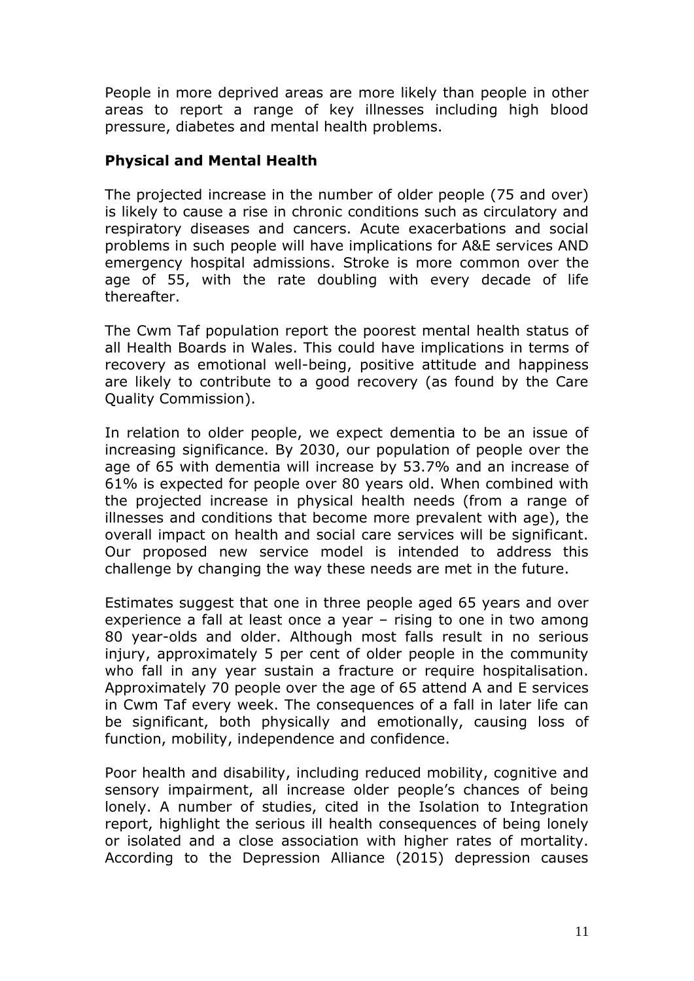People in more deprived areas are more likely than people in other areas to report a range of key illnesses including high blood pressure, diabetes and mental health problems.

### **Physical and Mental Health**

The projected increase in the number of older people (75 and over) is likely to cause a rise in chronic conditions such as circulatory and respiratory diseases and cancers. Acute exacerbations and social problems in such people will have implications for A&E services AND emergency hospital admissions. Stroke is more common over the age of 55, with the rate doubling with every decade of life thereafter.

The Cwm Taf population report the poorest mental health status of all Health Boards in Wales. This could have implications in terms of recovery as emotional well-being, positive attitude and happiness are likely to contribute to a good recovery (as found by the Care Quality Commission).

In relation to older people, we expect dementia to be an issue of increasing significance. By 2030, our population of people over the age of 65 with dementia will increase by 53.7% and an increase of 61% is expected for people over 80 years old. When combined with the projected increase in physical health needs (from a range of illnesses and conditions that become more prevalent with age), the overall impact on health and social care services will be significant. Our proposed new service model is intended to address this challenge by changing the way these needs are met in the future.

Estimates suggest that one in three people aged 65 years and over experience a fall at least once a year – rising to one in two among 80 year-olds and older. Although most falls result in no serious injury, approximately 5 per cent of older people in the community who fall in any year sustain a fracture or require hospitalisation. Approximately 70 people over the age of 65 attend A and E services in Cwm Taf every week. The consequences of a fall in later life can be significant, both physically and emotionally, causing loss of function, mobility, independence and confidence.

Poor health and disability, including reduced mobility, cognitive and sensory impairment, all increase older people's chances of being lonely. A number of studies, cited in the Isolation to Integration report, highlight the serious ill health consequences of being lonely or isolated and a close association with higher rates of mortality. According to the Depression Alliance (2015) depression causes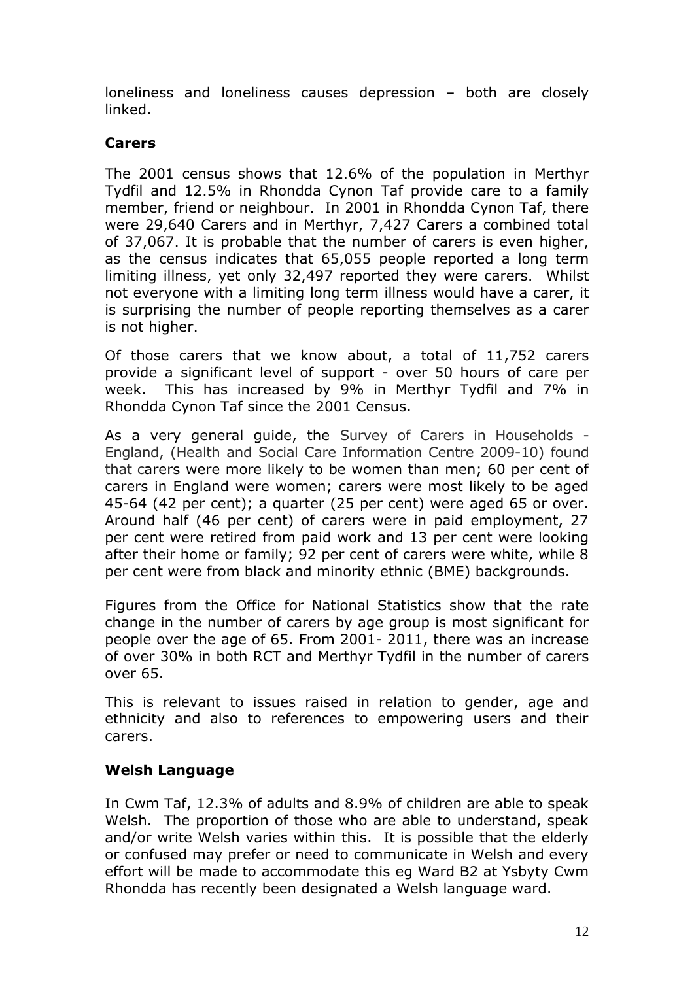loneliness and loneliness causes depression – both are closely linked.

## **Carers**

The 2001 census shows that 12.6% of the population in Merthyr Tydfil and 12.5% in Rhondda Cynon Taf provide care to a family member, friend or neighbour. In 2001 in Rhondda Cynon Taf, there were 29,640 Carers and in Merthyr, 7,427 Carers a combined total of 37,067. It is probable that the number of carers is even higher, as the census indicates that 65,055 people reported a long term limiting illness, yet only 32,497 reported they were carers. Whilst not everyone with a limiting long term illness would have a carer, it is surprising the number of people reporting themselves as a carer is not higher.

Of those carers that we know about, a total of 11,752 carers provide a significant level of support - over 50 hours of care per week. This has increased by 9% in Merthyr Tydfil and 7% in Rhondda Cynon Taf since the 2001 Census.

As a very general guide, the Survey of Carers in Households - England, (Health and Social Care Information Centre 2009-10) found that carers were more likely to be women than men; 60 per cent of carers in England were women; carers were most likely to be aged 45-64 (42 per cent); a quarter (25 per cent) were aged 65 or over. Around half (46 per cent) of carers were in paid employment, 27 per cent were retired from paid work and 13 per cent were looking after their home or family; 92 per cent of carers were white, while 8 per cent were from black and minority ethnic (BME) backgrounds.

Figures from the Office for National Statistics show that the rate change in the number of carers by age group is most significant for people over the age of 65. From 2001- 2011, there was an increase of over 30% in both RCT and Merthyr Tydfil in the number of carers over 65.

This is relevant to issues raised in relation to gender, age and ethnicity and also to references to empowering users and their carers.

# **Welsh Language**

In Cwm Taf, 12.3% of adults and 8.9% of children are able to speak Welsh. The proportion of those who are able to understand, speak and/or write Welsh varies within this. It is possible that the elderly or confused may prefer or need to communicate in Welsh and every effort will be made to accommodate this eg Ward B2 at Ysbyty Cwm Rhondda has recently been designated a Welsh language ward.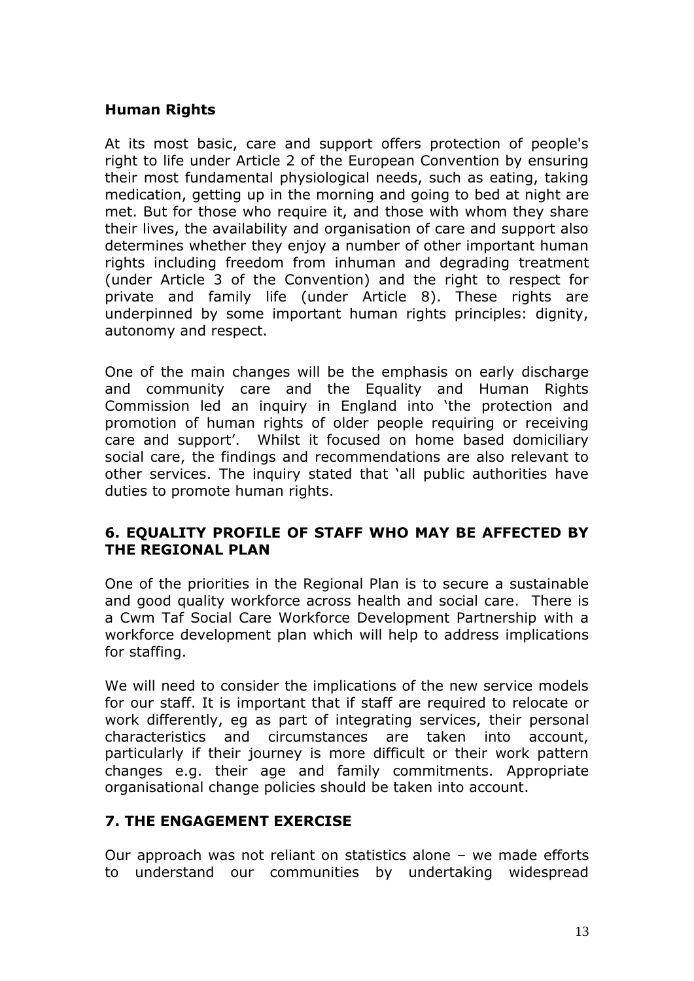#### **Human Rights**

At its most basic, care and support offers protection of people's right to life under Article 2 of the European Convention by ensuring their most fundamental physiological needs, such as eating, taking medication, getting up in the morning and going to bed at night are met. But for those who require it, and those with whom they share their lives, the availability and organisation of care and support also determines whether they enjoy a number of other important human rights including freedom from inhuman and degrading treatment (under Article 3 of the Convention) and the right to respect for private and family life (under Article 8). These rights are underpinned by some important human rights principles: dignity, autonomy and respect.

One of the main changes will be the emphasis on early discharge and community care and the Equality and Human Rights Commission led an inquiry in England into 'the protection and promotion of human rights of older people requiring or receiving care and support'. Whilst it focused on home based domiciliary social care, the findings and recommendations are also relevant to other services. The inquiry stated that 'all public authorities have duties to promote human rights.

### **6. EQUALITY PROFILE OF STAFF WHO MAY BE AFFECTED BY THE REGIONAL PLAN**

One of the priorities in the Regional Plan is to secure a sustainable and good quality workforce across health and social care. There is a Cwm Taf Social Care Workforce Development Partnership with a workforce development plan which will help to address implications for staffing.

We will need to consider the implications of the new service models for our staff. It is important that if staff are required to relocate or work differently, eg as part of integrating services, their personal characteristics and circumstances are taken into account, particularly if their journey is more difficult or their work pattern changes e.g. their age and family commitments. Appropriate organisational change policies should be taken into account.

## **7. THE ENGAGEMENT EXERCISE**

Our approach was not reliant on statistics alone – we made efforts to understand our communities by undertaking widespread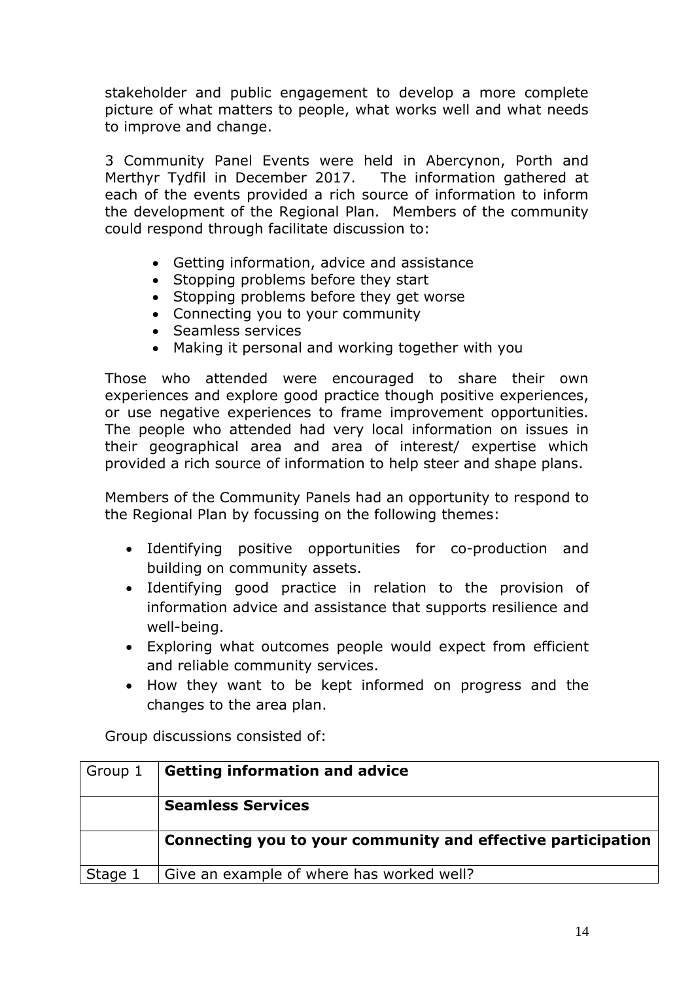stakeholder and public engagement to develop a more complete picture of what matters to people, what works well and what needs to improve and change.

3 Community Panel Events were held in Abercynon, Porth and Merthyr Tydfil in December 2017. The information gathered at each of the events provided a rich source of information to inform the development of the Regional Plan. Members of the community could respond through facilitate discussion to:

- Getting information, advice and assistance
- Stopping problems before they start
- Stopping problems before they get worse
- Connecting you to your community
- Seamless services
- Making it personal and working together with you

Those who attended were encouraged to share their own experiences and explore good practice though positive experiences, or use negative experiences to frame improvement opportunities. The people who attended had very local information on issues in their geographical area and area of interest/ expertise which provided a rich source of information to help steer and shape plans.

Members of the Community Panels had an opportunity to respond to the Regional Plan by focussing on the following themes:

- Identifying positive opportunities for co-production and building on community assets.
- Identifying good practice in relation to the provision of information advice and assistance that supports resilience and well-being.
- Exploring what outcomes people would expect from efficient and reliable community services.
- How they want to be kept informed on progress and the changes to the area plan.

Group discussions consisted of:

| Group 1 | <b>Getting information and advice</b>                        |
|---------|--------------------------------------------------------------|
|         | <b>Seamless Services</b>                                     |
|         | Connecting you to your community and effective participation |
| Stage 1 | Give an example of where has worked well?                    |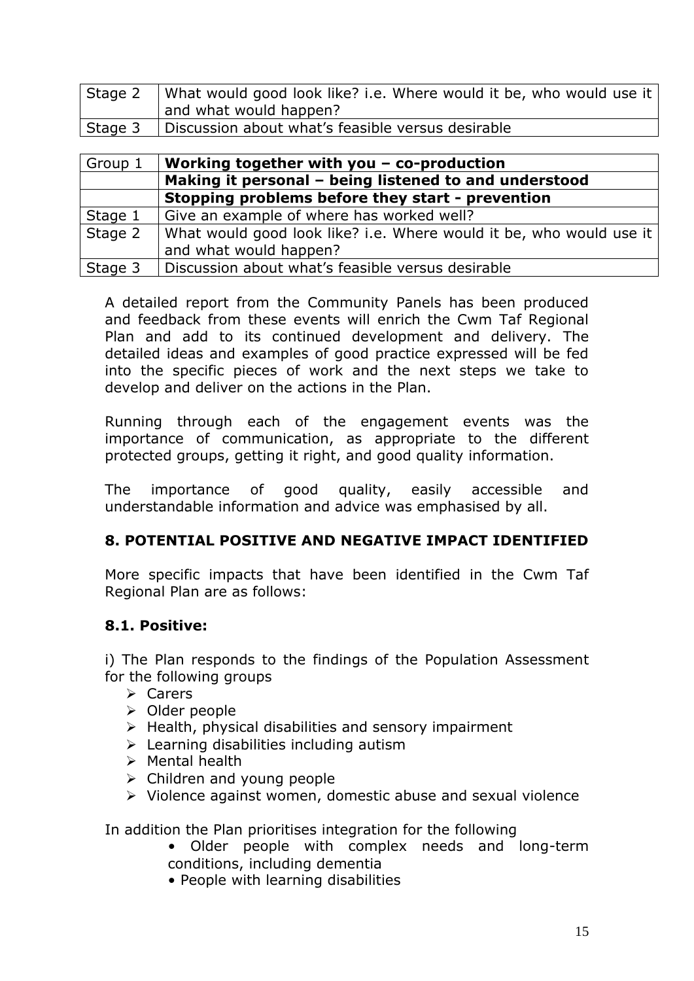| Stage 2 | What would good look like? i.e. Where would it be, who would use it |
|---------|---------------------------------------------------------------------|
|         | and what would happen?                                              |
| Stage 3 | Discussion about what's feasible versus desirable                   |

| Group 1 | Working together with you $-$ co-production                                                   |
|---------|-----------------------------------------------------------------------------------------------|
|         | Making it personal - being listened to and understood                                         |
|         | Stopping problems before they start - prevention                                              |
| Stage 1 | Give an example of where has worked well?                                                     |
| Stage 2 | What would good look like? i.e. Where would it be, who would use it<br>and what would happen? |
| Stage 3 | Discussion about what's feasible versus desirable                                             |

A detailed report from the Community Panels has been produced and feedback from these events will enrich the Cwm Taf Regional Plan and add to its continued development and delivery. The detailed ideas and examples of good practice expressed will be fed into the specific pieces of work and the next steps we take to develop and deliver on the actions in the Plan.

Running through each of the engagement events was the importance of communication, as appropriate to the different protected groups, getting it right, and good quality information.

The importance of good quality, easily accessible and understandable information and advice was emphasised by all.

#### **8. POTENTIAL POSITIVE AND NEGATIVE IMPACT IDENTIFIED**

More specific impacts that have been identified in the Cwm Taf Regional Plan are as follows:

## **8.1. Positive:**

i) The Plan responds to the findings of the Population Assessment for the following groups

- $\triangleright$  Carers
- $\triangleright$  Older people
- $\triangleright$  Health, physical disabilities and sensory impairment
- $\triangleright$  Learning disabilities including autism
- $\triangleright$  Mental health
- $\triangleright$  Children and young people
- $\triangleright$  Violence against women, domestic abuse and sexual violence

In addition the Plan prioritises integration for the following

- Older people with complex needs and long-term conditions, including dementia
- People with learning disabilities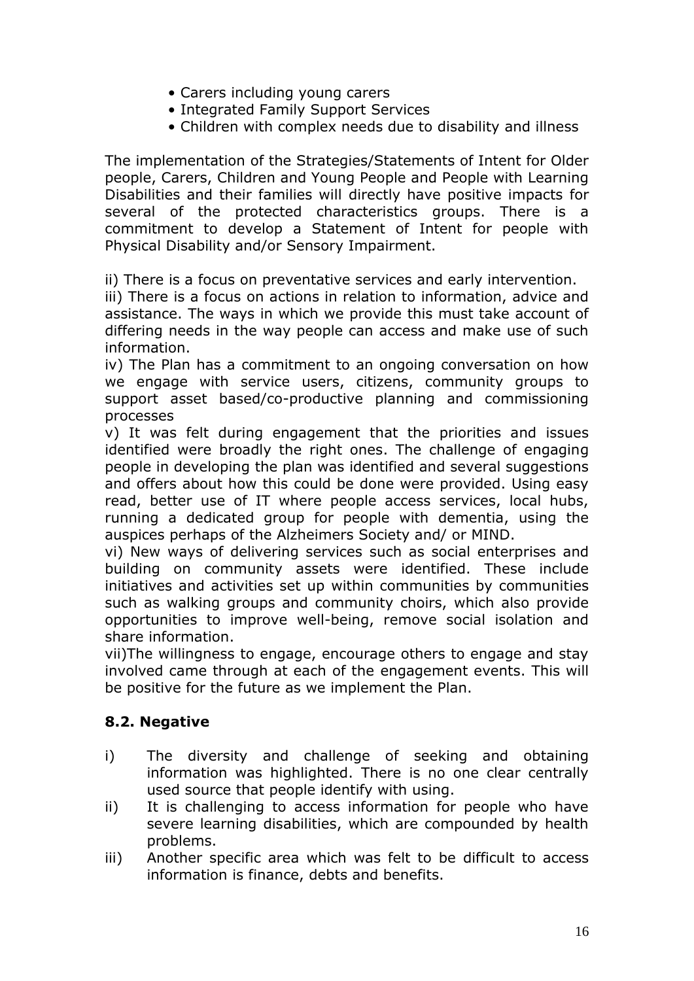- Carers including young carers
- Integrated Family Support Services
- Children with complex needs due to disability and illness

The implementation of the Strategies/Statements of Intent for Older people, Carers, Children and Young People and People with Learning Disabilities and their families will directly have positive impacts for several of the protected characteristics groups. There is a commitment to develop a Statement of Intent for people with Physical Disability and/or Sensory Impairment.

ii) There is a focus on preventative services and early intervention.

iii) There is a focus on actions in relation to information, advice and assistance. The ways in which we provide this must take account of differing needs in the way people can access and make use of such information.

iv) The Plan has a commitment to an ongoing conversation on how we engage with service users, citizens, community groups to support asset based/co-productive planning and commissioning processes

v) It was felt during engagement that the priorities and issues identified were broadly the right ones. The challenge of engaging people in developing the plan was identified and several suggestions and offers about how this could be done were provided. Using easy read, better use of IT where people access services, local hubs, running a dedicated group for people with dementia, using the auspices perhaps of the Alzheimers Society and/ or MIND.

vi) New ways of delivering services such as social enterprises and building on community assets were identified. These include initiatives and activities set up within communities by communities such as walking groups and community choirs, which also provide opportunities to improve well-being, remove social isolation and share information.

vii)The willingness to engage, encourage others to engage and stay involved came through at each of the engagement events. This will be positive for the future as we implement the Plan.

## **8.2. Negative**

- i) The diversity and challenge of seeking and obtaining information was highlighted. There is no one clear centrally used source that people identify with using.
- ii) It is challenging to access information for people who have severe learning disabilities, which are compounded by health problems.
- iii) Another specific area which was felt to be difficult to access information is finance, debts and benefits.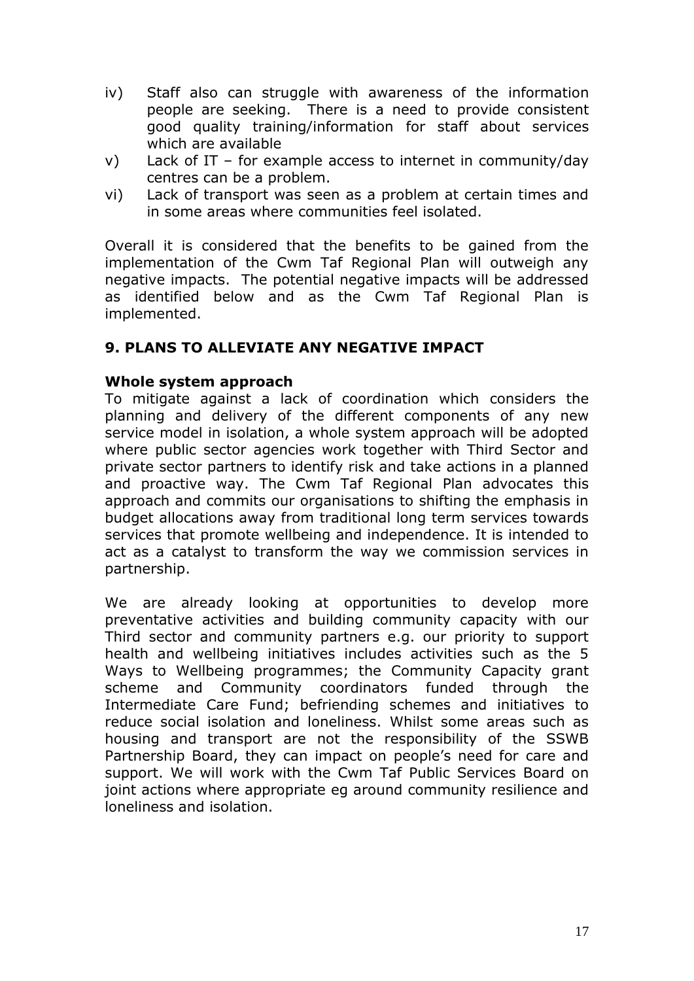- iv) Staff also can struggle with awareness of the information people are seeking. There is a need to provide consistent good quality training/information for staff about services which are available
- v) Lack of IT for example access to internet in community/day centres can be a problem.
- vi) Lack of transport was seen as a problem at certain times and in some areas where communities feel isolated.

Overall it is considered that the benefits to be gained from the implementation of the Cwm Taf Regional Plan will outweigh any negative impacts. The potential negative impacts will be addressed as identified below and as the Cwm Taf Regional Plan is implemented.

### **9. PLANS TO ALLEVIATE ANY NEGATIVE IMPACT**

#### **Whole system approach**

To mitigate against a lack of coordination which considers the planning and delivery of the different components of any new service model in isolation, a whole system approach will be adopted where public sector agencies work together with Third Sector and private sector partners to identify risk and take actions in a planned and proactive way. The Cwm Taf Regional Plan advocates this approach and commits our organisations to shifting the emphasis in budget allocations away from traditional long term services towards services that promote wellbeing and independence. It is intended to act as a catalyst to transform the way we commission services in partnership.

We are already looking at opportunities to develop more preventative activities and building community capacity with our Third sector and community partners e.g. our priority to support health and wellbeing initiatives includes activities such as the 5 Ways to Wellbeing programmes; the Community Capacity grant scheme and Community coordinators funded through the Intermediate Care Fund; befriending schemes and initiatives to reduce social isolation and loneliness. Whilst some areas such as housing and transport are not the responsibility of the SSWB Partnership Board, they can impact on people's need for care and support. We will work with the Cwm Taf Public Services Board on joint actions where appropriate eg around community resilience and loneliness and isolation.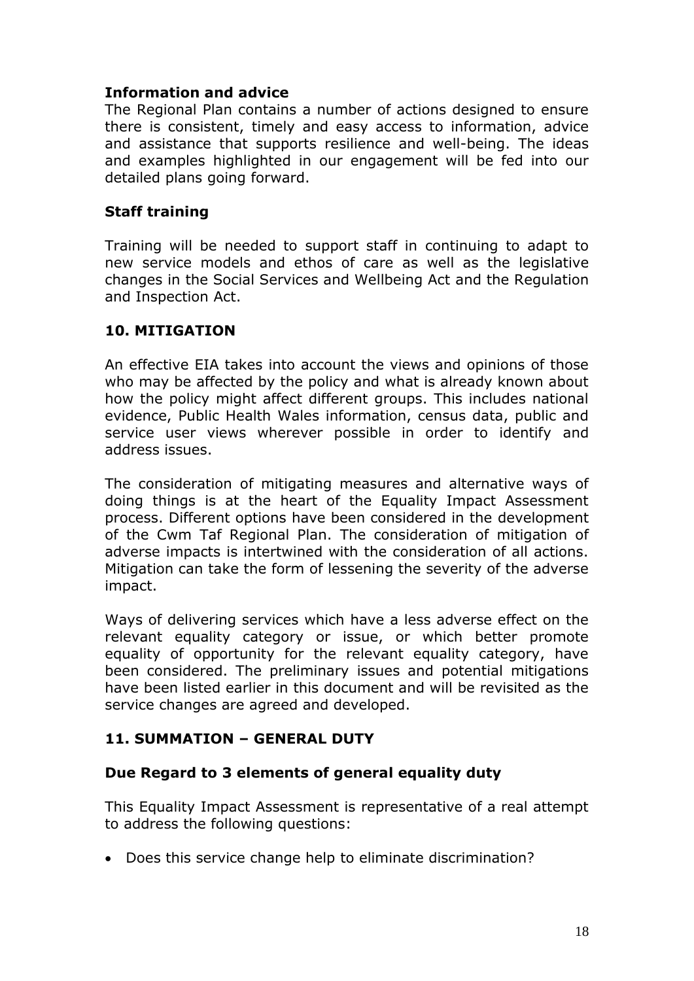### **Information and advice**

The Regional Plan contains a number of actions designed to ensure there is consistent, timely and easy access to information, advice and assistance that supports resilience and well-being. The ideas and examples highlighted in our engagement will be fed into our detailed plans going forward.

### **Staff training**

Training will be needed to support staff in continuing to adapt to new service models and ethos of care as well as the legislative changes in the Social Services and Wellbeing Act and the Regulation and Inspection Act.

### **10. MITIGATION**

An effective EIA takes into account the views and opinions of those who may be affected by the policy and what is already known about how the policy might affect different groups. This includes national evidence, Public Health Wales information, census data, public and service user views wherever possible in order to identify and address issues.

The consideration of mitigating measures and alternative ways of doing things is at the heart of the Equality Impact Assessment process. Different options have been considered in the development of the Cwm Taf Regional Plan. The consideration of mitigation of adverse impacts is intertwined with the consideration of all actions. Mitigation can take the form of lessening the severity of the adverse impact.

Ways of delivering services which have a less adverse effect on the relevant equality category or issue, or which better promote equality of opportunity for the relevant equality category, have been considered. The preliminary issues and potential mitigations have been listed earlier in this document and will be revisited as the service changes are agreed and developed.

#### **11. SUMMATION – GENERAL DUTY**

#### **Due Regard to 3 elements of general equality duty**

This Equality Impact Assessment is representative of a real attempt to address the following questions:

Does this service change help to eliminate discrimination?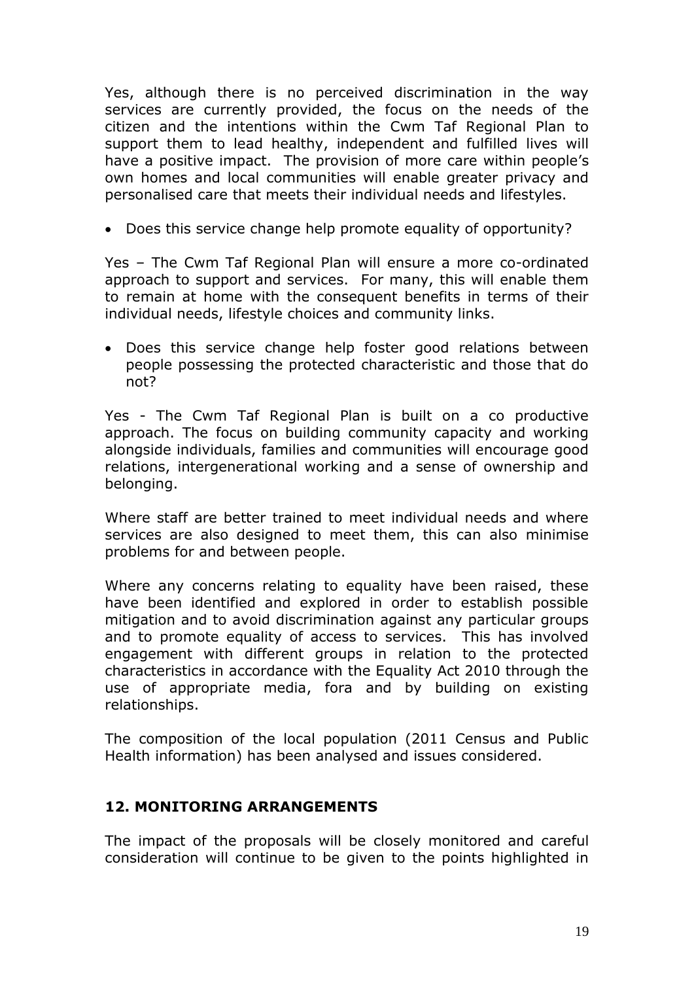Yes, although there is no perceived discrimination in the way services are currently provided, the focus on the needs of the citizen and the intentions within the Cwm Taf Regional Plan to support them to lead healthy, independent and fulfilled lives will have a positive impact. The provision of more care within people's own homes and local communities will enable greater privacy and personalised care that meets their individual needs and lifestyles.

Does this service change help promote equality of opportunity?

Yes – The Cwm Taf Regional Plan will ensure a more co-ordinated approach to support and services. For many, this will enable them to remain at home with the consequent benefits in terms of their individual needs, lifestyle choices and community links.

 Does this service change help foster good relations between people possessing the protected characteristic and those that do not?

Yes - The Cwm Taf Regional Plan is built on a co productive approach. The focus on building community capacity and working alongside individuals, families and communities will encourage good relations, intergenerational working and a sense of ownership and belonging.

Where staff are better trained to meet individual needs and where services are also designed to meet them, this can also minimise problems for and between people.

Where any concerns relating to equality have been raised, these have been identified and explored in order to establish possible mitigation and to avoid discrimination against any particular groups and to promote equality of access to services. This has involved engagement with different groups in relation to the protected characteristics in accordance with the Equality Act 2010 through the use of appropriate media, fora and by building on existing relationships.

The composition of the local population (2011 Census and Public Health information) has been analysed and issues considered.

## **12. MONITORING ARRANGEMENTS**

The impact of the proposals will be closely monitored and careful consideration will continue to be given to the points highlighted in